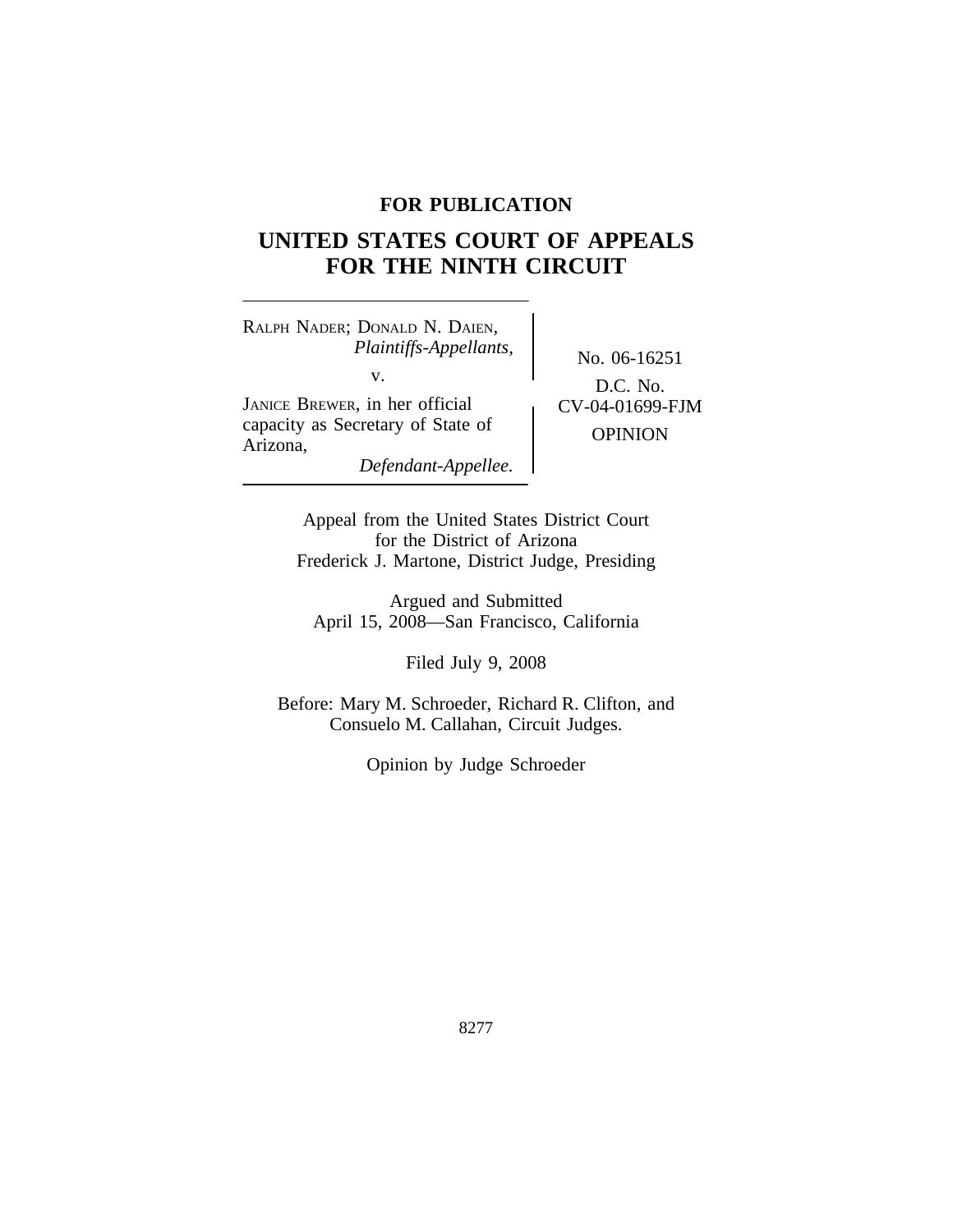## **FOR PUBLICATION**

# **UNITED STATES COURT OF APPEALS FOR THE NINTH CIRCUIT**

<sup>R</sup>ALPH NADER; DONALD N. DAIEN, *Plaintiffs-Appellants,* No. 06-16251 JANICE BREWER, in her official  $\int$  CV-04-01699-FJM

D.C. No.

capacity as Secretary of State of OPINION Arizona,

*Defendant-Appellee.*

Appeal from the United States District Court for the District of Arizona Frederick J. Martone, District Judge, Presiding

Argued and Submitted April 15, 2008—San Francisco, California

Filed July 9, 2008

Before: Mary M. Schroeder, Richard R. Clifton, and Consuelo M. Callahan, Circuit Judges.

Opinion by Judge Schroeder

8277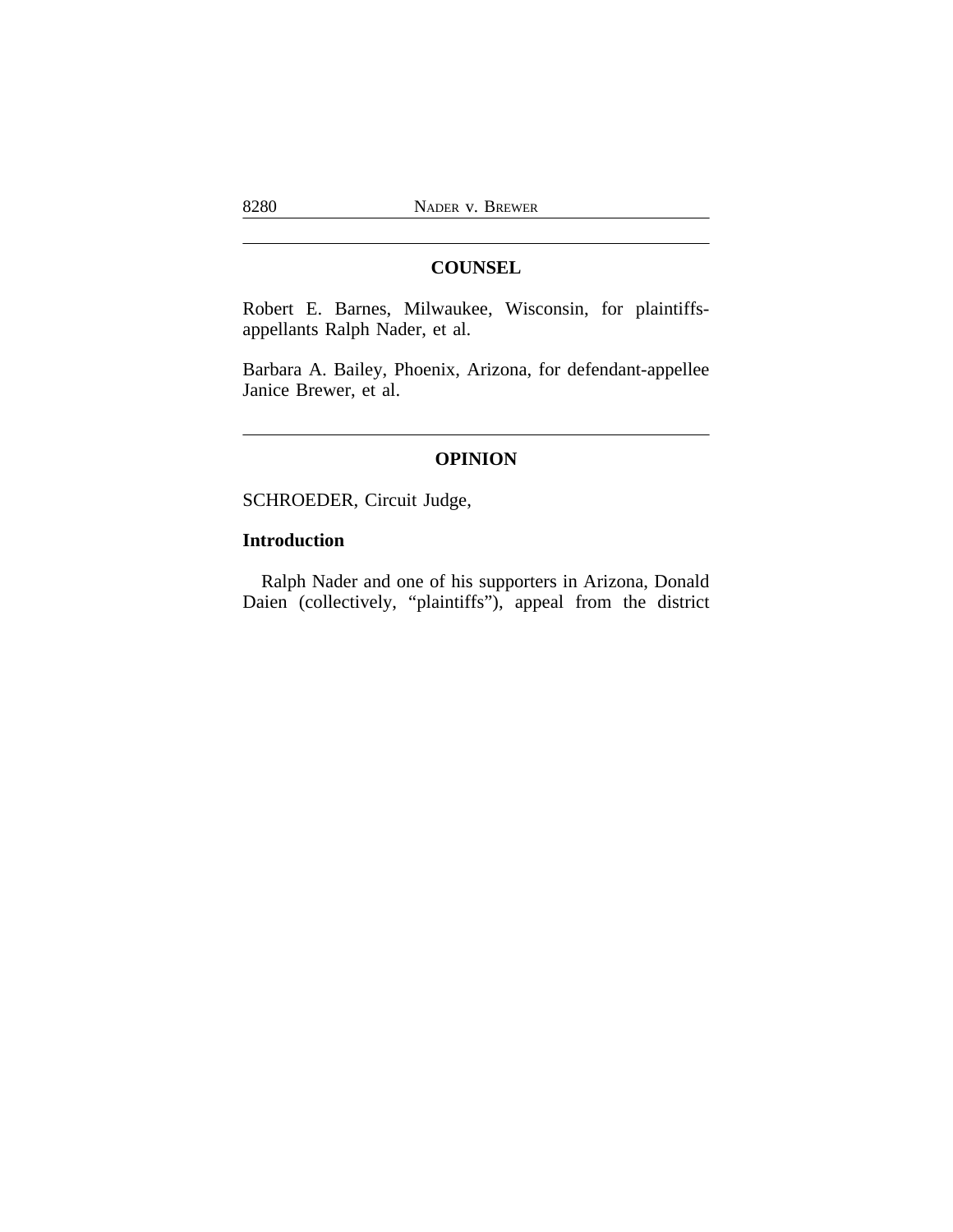### **COUNSEL**

Robert E. Barnes, Milwaukee, Wisconsin, for plaintiffsappellants Ralph Nader, et al.

Barbara A. Bailey, Phoenix, Arizona, for defendant-appellee Janice Brewer, et al.

#### **OPINION**

SCHROEDER, Circuit Judge,

## **Introduction**

Ralph Nader and one of his supporters in Arizona, Donald Daien (collectively, "plaintiffs"), appeal from the district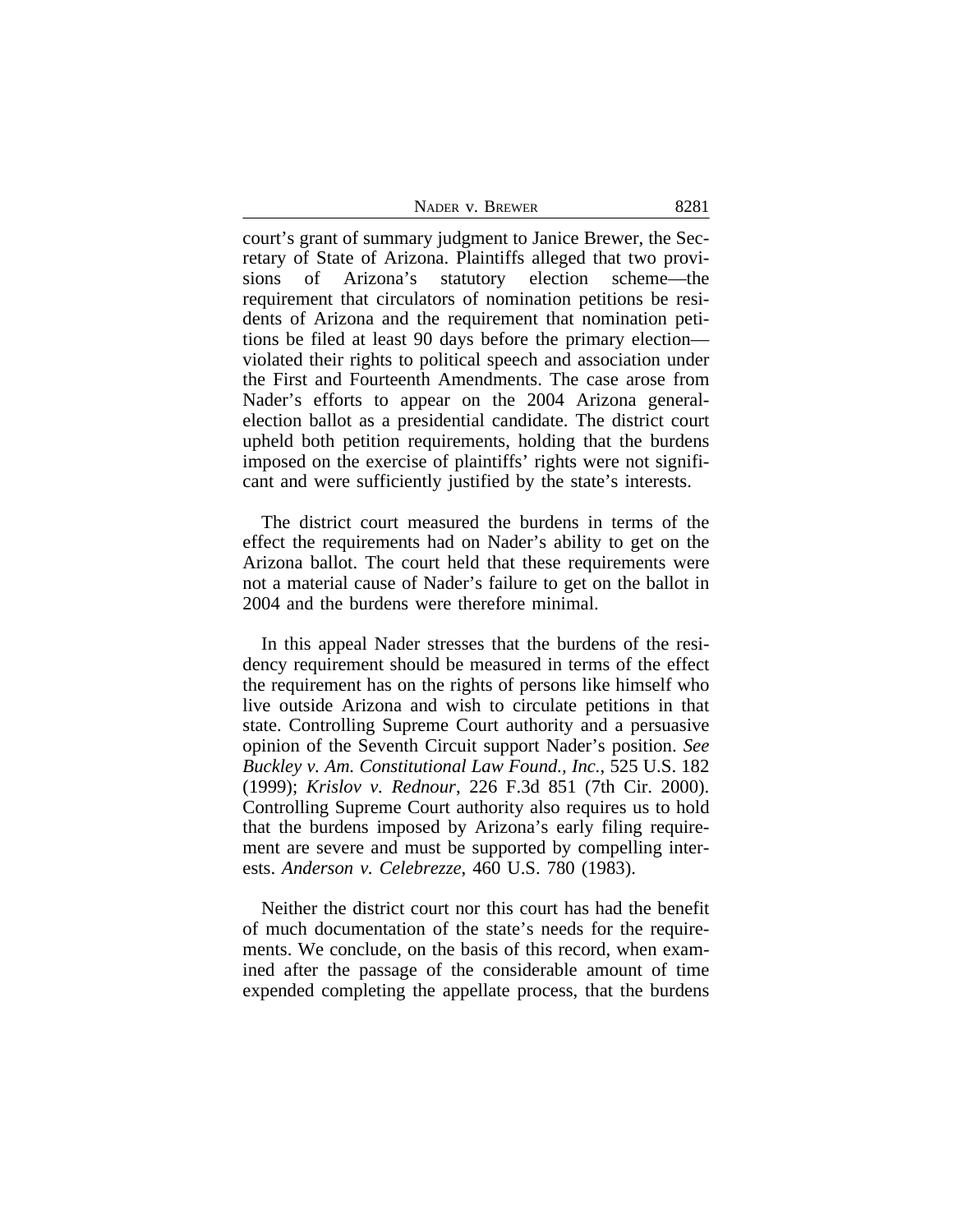| NADER V. BREWER | 8281 |
|-----------------|------|
|-----------------|------|

court's grant of summary judgment to Janice Brewer, the Secretary of State of Arizona. Plaintiffs alleged that two provisions of Arizona's statutory election scheme—the requirement that circulators of nomination petitions be residents of Arizona and the requirement that nomination petitions be filed at least 90 days before the primary election violated their rights to political speech and association under the First and Fourteenth Amendments. The case arose from Nader's efforts to appear on the 2004 Arizona generalelection ballot as a presidential candidate. The district court upheld both petition requirements, holding that the burdens imposed on the exercise of plaintiffs' rights were not significant and were sufficiently justified by the state's interests.

The district court measured the burdens in terms of the effect the requirements had on Nader's ability to get on the Arizona ballot. The court held that these requirements were not a material cause of Nader's failure to get on the ballot in 2004 and the burdens were therefore minimal.

In this appeal Nader stresses that the burdens of the residency requirement should be measured in terms of the effect the requirement has on the rights of persons like himself who live outside Arizona and wish to circulate petitions in that state. Controlling Supreme Court authority and a persuasive opinion of the Seventh Circuit support Nader's position. *See Buckley v. Am. Constitutional Law Found., Inc.*, 525 U.S. 182 (1999); *Krislov v. Rednour*, 226 F.3d 851 (7th Cir. 2000). Controlling Supreme Court authority also requires us to hold that the burdens imposed by Arizona's early filing requirement are severe and must be supported by compelling interests. *Anderson v. Celebrezze*, 460 U.S. 780 (1983).

Neither the district court nor this court has had the benefit of much documentation of the state's needs for the requirements. We conclude, on the basis of this record, when examined after the passage of the considerable amount of time expended completing the appellate process, that the burdens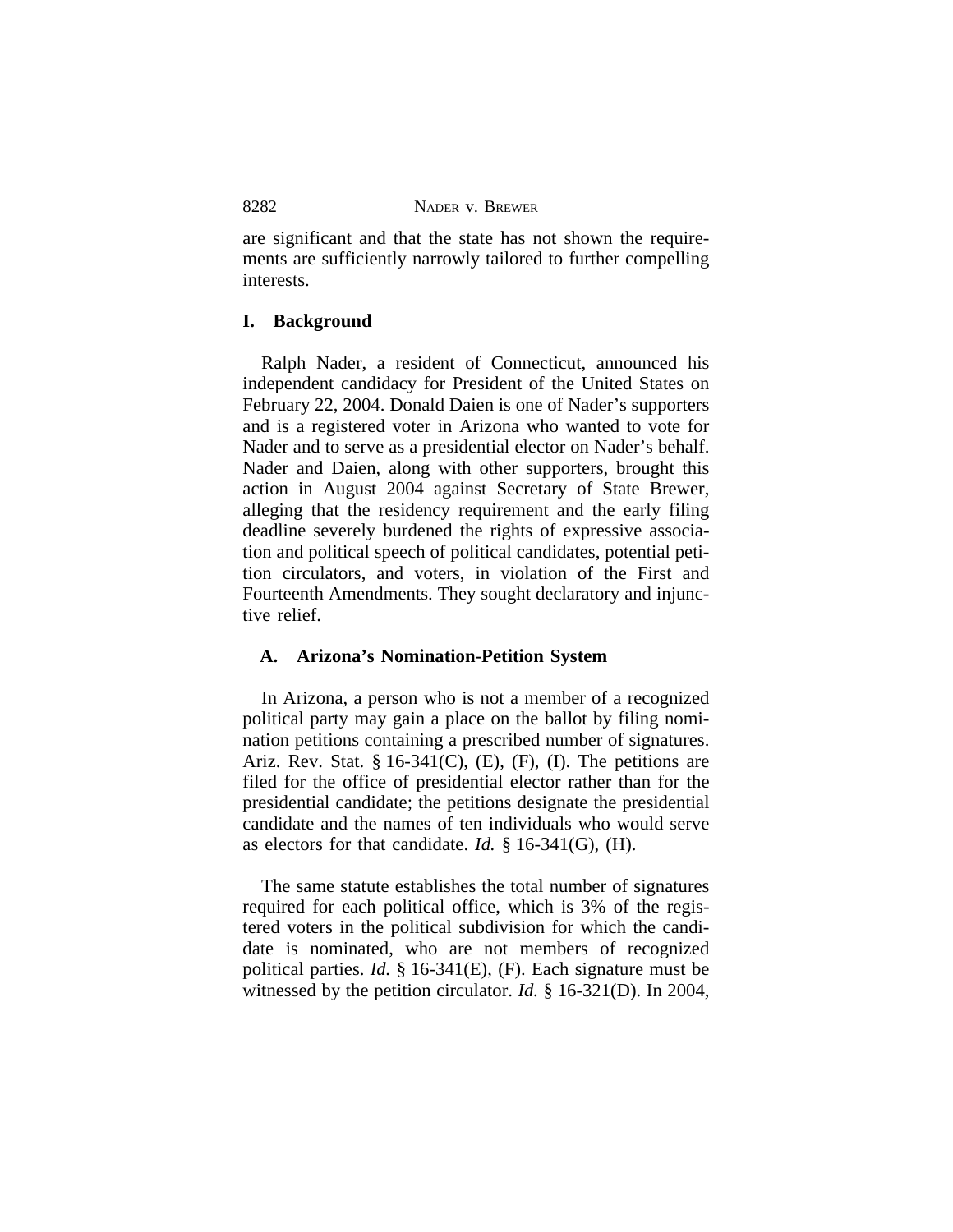are significant and that the state has not shown the requirements are sufficiently narrowly tailored to further compelling interests.

#### **I. Background**

Ralph Nader, a resident of Connecticut, announced his independent candidacy for President of the United States on February 22, 2004. Donald Daien is one of Nader's supporters and is a registered voter in Arizona who wanted to vote for Nader and to serve as a presidential elector on Nader's behalf. Nader and Daien, along with other supporters, brought this action in August 2004 against Secretary of State Brewer, alleging that the residency requirement and the early filing deadline severely burdened the rights of expressive association and political speech of political candidates, potential petition circulators, and voters, in violation of the First and Fourteenth Amendments. They sought declaratory and injunctive relief.

#### **A. Arizona's Nomination-Petition System**

In Arizona, a person who is not a member of a recognized political party may gain a place on the ballot by filing nomination petitions containing a prescribed number of signatures. Ariz. Rev. Stat.  $\S 16-341(C)$ , (E), (F), (I). The petitions are filed for the office of presidential elector rather than for the presidential candidate; the petitions designate the presidential candidate and the names of ten individuals who would serve as electors for that candidate. *Id.* § 16-341(G), (H).

The same statute establishes the total number of signatures required for each political office, which is 3% of the registered voters in the political subdivision for which the candidate is nominated, who are not members of recognized political parties. *Id.* § 16-341(E), (F). Each signature must be witnessed by the petition circulator. *Id.* § 16-321(D). In 2004,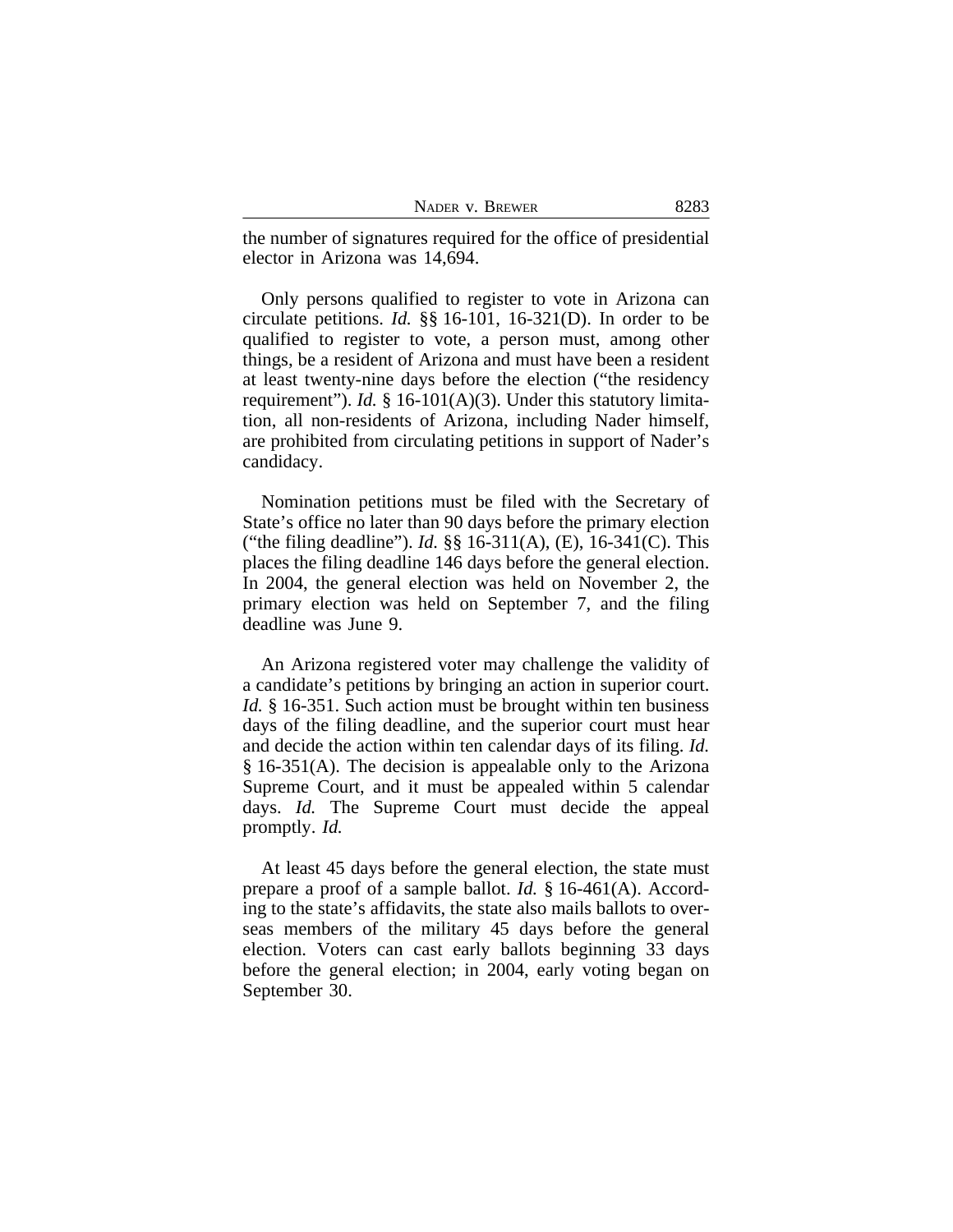| NADER V. BREWER | 8283 |
|-----------------|------|
|-----------------|------|

the number of signatures required for the office of presidential elector in Arizona was 14,694.

Only persons qualified to register to vote in Arizona can circulate petitions. *Id.* §§ 16-101, 16-321(D). In order to be qualified to register to vote, a person must, among other things, be a resident of Arizona and must have been a resident at least twenty-nine days before the election ("the residency requirement"). *Id.* § 16-101(A)(3). Under this statutory limitation, all non-residents of Arizona, including Nader himself, are prohibited from circulating petitions in support of Nader's candidacy.

Nomination petitions must be filed with the Secretary of State's office no later than 90 days before the primary election ("the filing deadline"). *Id.* §§ 16-311(A), (E), 16-341(C). This places the filing deadline 146 days before the general election. In 2004, the general election was held on November 2, the primary election was held on September 7, and the filing deadline was June 9.

An Arizona registered voter may challenge the validity of a candidate's petitions by bringing an action in superior court. *Id.* § 16-351. Such action must be brought within ten business days of the filing deadline, and the superior court must hear and decide the action within ten calendar days of its filing. *Id.* § 16-351(A). The decision is appealable only to the Arizona Supreme Court, and it must be appealed within 5 calendar days. *Id.* The Supreme Court must decide the appeal promptly. *Id.*

At least 45 days before the general election, the state must prepare a proof of a sample ballot. *Id.* § 16-461(A). According to the state's affidavits, the state also mails ballots to overseas members of the military 45 days before the general election. Voters can cast early ballots beginning 33 days before the general election; in 2004, early voting began on September 30.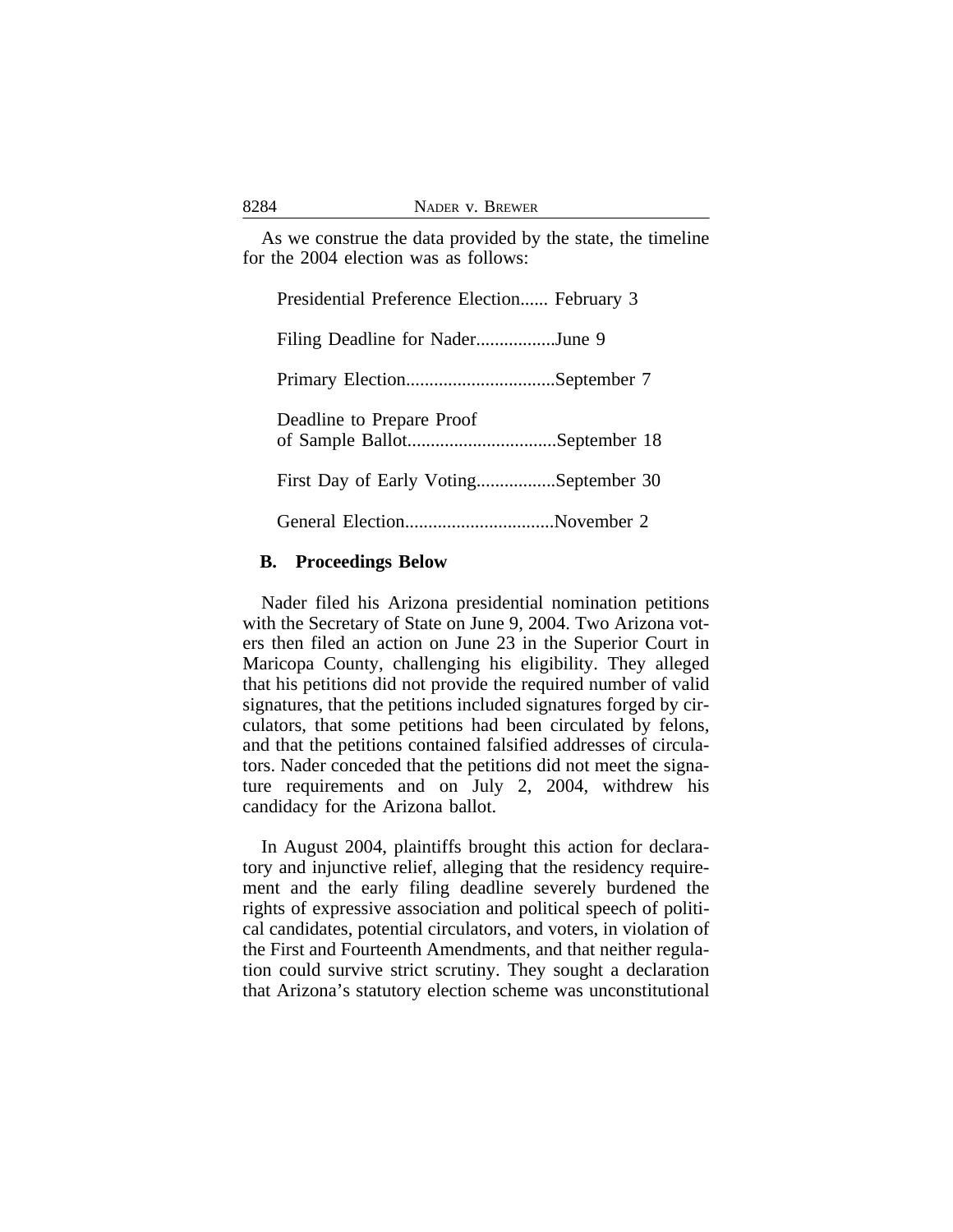As we construe the data provided by the state, the timeline for the 2004 election was as follows:

| Presidential Preference Election February 3 |
|---------------------------------------------|
| Filing Deadline for NaderJune 9             |
|                                             |
| Deadline to Prepare Proof                   |
| First Day of Early VotingSeptember 30       |
| General ElectionNovember 2                  |

#### **B. Proceedings Below**

Nader filed his Arizona presidential nomination petitions with the Secretary of State on June 9, 2004. Two Arizona voters then filed an action on June 23 in the Superior Court in Maricopa County, challenging his eligibility. They alleged that his petitions did not provide the required number of valid signatures, that the petitions included signatures forged by circulators, that some petitions had been circulated by felons, and that the petitions contained falsified addresses of circulators. Nader conceded that the petitions did not meet the signature requirements and on July 2, 2004, withdrew his candidacy for the Arizona ballot.

In August 2004, plaintiffs brought this action for declaratory and injunctive relief, alleging that the residency requirement and the early filing deadline severely burdened the rights of expressive association and political speech of political candidates, potential circulators, and voters, in violation of the First and Fourteenth Amendments, and that neither regulation could survive strict scrutiny. They sought a declaration that Arizona's statutory election scheme was unconstitutional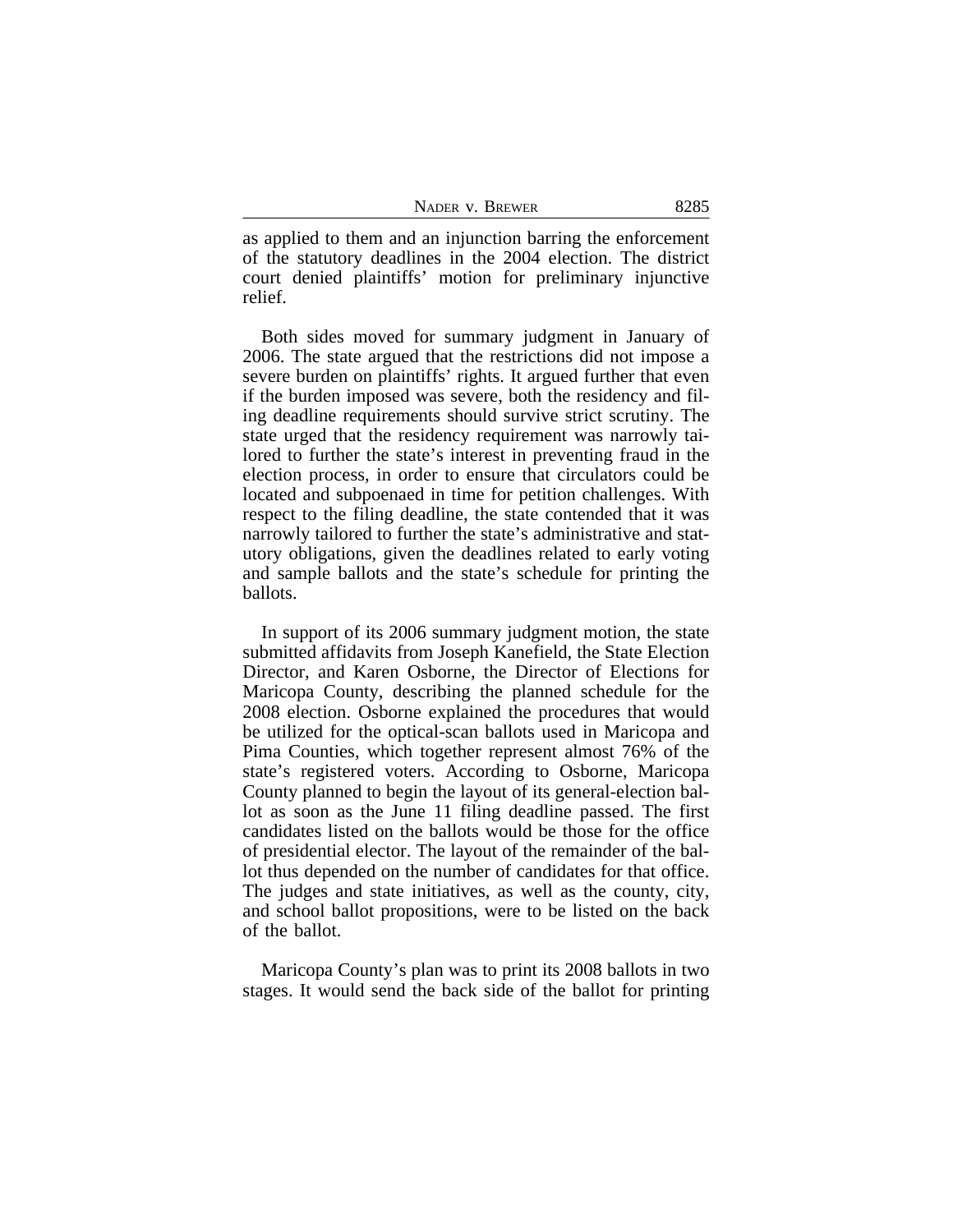| NADER V. BREWER | 8285 |
|-----------------|------|
|-----------------|------|

as applied to them and an injunction barring the enforcement of the statutory deadlines in the 2004 election. The district court denied plaintiffs' motion for preliminary injunctive relief.

Both sides moved for summary judgment in January of 2006. The state argued that the restrictions did not impose a severe burden on plaintiffs' rights. It argued further that even if the burden imposed was severe, both the residency and filing deadline requirements should survive strict scrutiny. The state urged that the residency requirement was narrowly tailored to further the state's interest in preventing fraud in the election process, in order to ensure that circulators could be located and subpoenaed in time for petition challenges. With respect to the filing deadline, the state contended that it was narrowly tailored to further the state's administrative and statutory obligations, given the deadlines related to early voting and sample ballots and the state's schedule for printing the ballots.

In support of its 2006 summary judgment motion, the state submitted affidavits from Joseph Kanefield, the State Election Director, and Karen Osborne, the Director of Elections for Maricopa County, describing the planned schedule for the 2008 election. Osborne explained the procedures that would be utilized for the optical-scan ballots used in Maricopa and Pima Counties, which together represent almost 76% of the state's registered voters. According to Osborne, Maricopa County planned to begin the layout of its general-election ballot as soon as the June 11 filing deadline passed. The first candidates listed on the ballots would be those for the office of presidential elector. The layout of the remainder of the ballot thus depended on the number of candidates for that office. The judges and state initiatives, as well as the county, city, and school ballot propositions, were to be listed on the back of the ballot.

Maricopa County's plan was to print its 2008 ballots in two stages. It would send the back side of the ballot for printing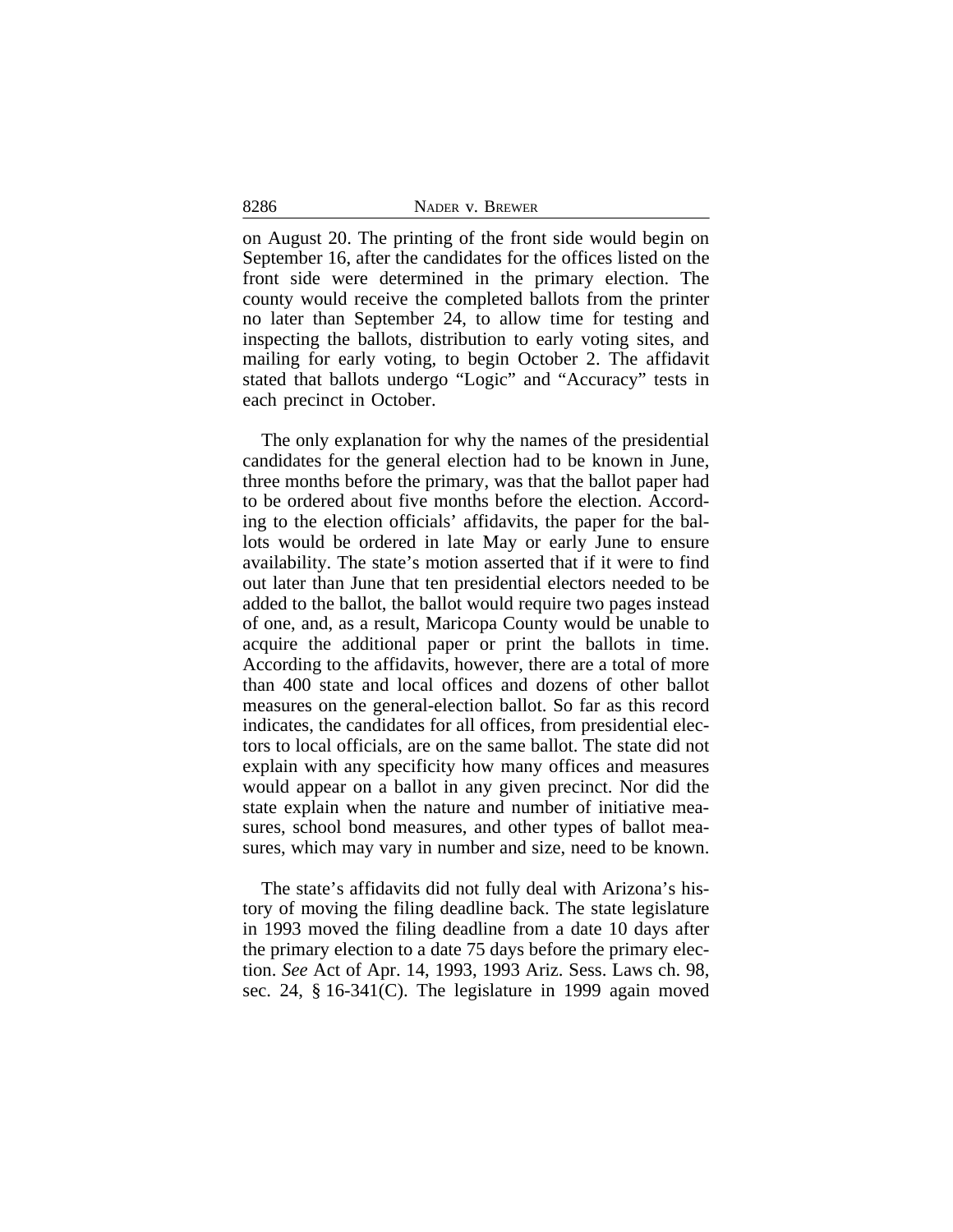8286 NADER v. BREWER

on August 20. The printing of the front side would begin on September 16, after the candidates for the offices listed on the front side were determined in the primary election. The county would receive the completed ballots from the printer no later than September 24, to allow time for testing and inspecting the ballots, distribution to early voting sites, and mailing for early voting, to begin October 2. The affidavit stated that ballots undergo "Logic" and "Accuracy" tests in each precinct in October.

The only explanation for why the names of the presidential candidates for the general election had to be known in June, three months before the primary, was that the ballot paper had to be ordered about five months before the election. According to the election officials' affidavits, the paper for the ballots would be ordered in late May or early June to ensure availability. The state's motion asserted that if it were to find out later than June that ten presidential electors needed to be added to the ballot, the ballot would require two pages instead of one, and, as a result, Maricopa County would be unable to acquire the additional paper or print the ballots in time. According to the affidavits, however, there are a total of more than 400 state and local offices and dozens of other ballot measures on the general-election ballot. So far as this record indicates, the candidates for all offices, from presidential electors to local officials, are on the same ballot. The state did not explain with any specificity how many offices and measures would appear on a ballot in any given precinct. Nor did the state explain when the nature and number of initiative measures, school bond measures, and other types of ballot measures, which may vary in number and size, need to be known.

The state's affidavits did not fully deal with Arizona's history of moving the filing deadline back. The state legislature in 1993 moved the filing deadline from a date 10 days after the primary election to a date 75 days before the primary election. *See* Act of Apr. 14, 1993, 1993 Ariz. Sess. Laws ch. 98, sec. 24, § 16-341(C). The legislature in 1999 again moved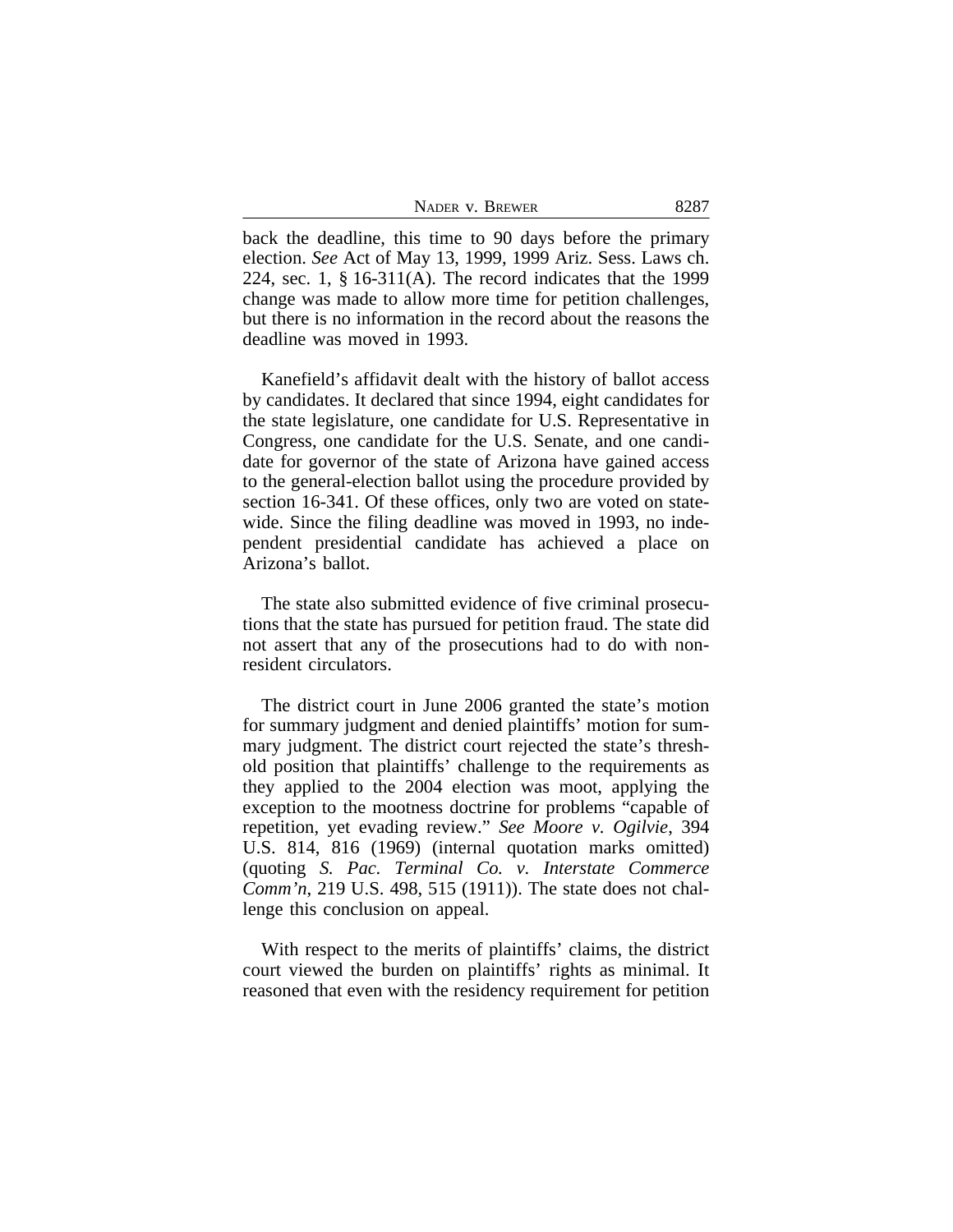| NADER V. BREWER | 8287 |
|-----------------|------|
|-----------------|------|

back the deadline, this time to 90 days before the primary election. *See* Act of May 13, 1999, 1999 Ariz. Sess. Laws ch. 224, sec. 1, § 16-311(A). The record indicates that the 1999 change was made to allow more time for petition challenges, but there is no information in the record about the reasons the deadline was moved in 1993.

Kanefield's affidavit dealt with the history of ballot access by candidates. It declared that since 1994, eight candidates for the state legislature, one candidate for U.S. Representative in Congress, one candidate for the U.S. Senate, and one candidate for governor of the state of Arizona have gained access to the general-election ballot using the procedure provided by section 16-341. Of these offices, only two are voted on statewide. Since the filing deadline was moved in 1993, no independent presidential candidate has achieved a place on Arizona's ballot.

The state also submitted evidence of five criminal prosecutions that the state has pursued for petition fraud. The state did not assert that any of the prosecutions had to do with nonresident circulators.

The district court in June 2006 granted the state's motion for summary judgment and denied plaintiffs' motion for summary judgment. The district court rejected the state's threshold position that plaintiffs' challenge to the requirements as they applied to the 2004 election was moot, applying the exception to the mootness doctrine for problems "capable of repetition, yet evading review." *See Moore v. Ogilvie*, 394 U.S. 814, 816 (1969) (internal quotation marks omitted) (quoting *S. Pac. Terminal Co. v. Interstate Commerce Comm'n*, 219 U.S. 498, 515 (1911)). The state does not challenge this conclusion on appeal.

With respect to the merits of plaintiffs' claims, the district court viewed the burden on plaintiffs' rights as minimal. It reasoned that even with the residency requirement for petition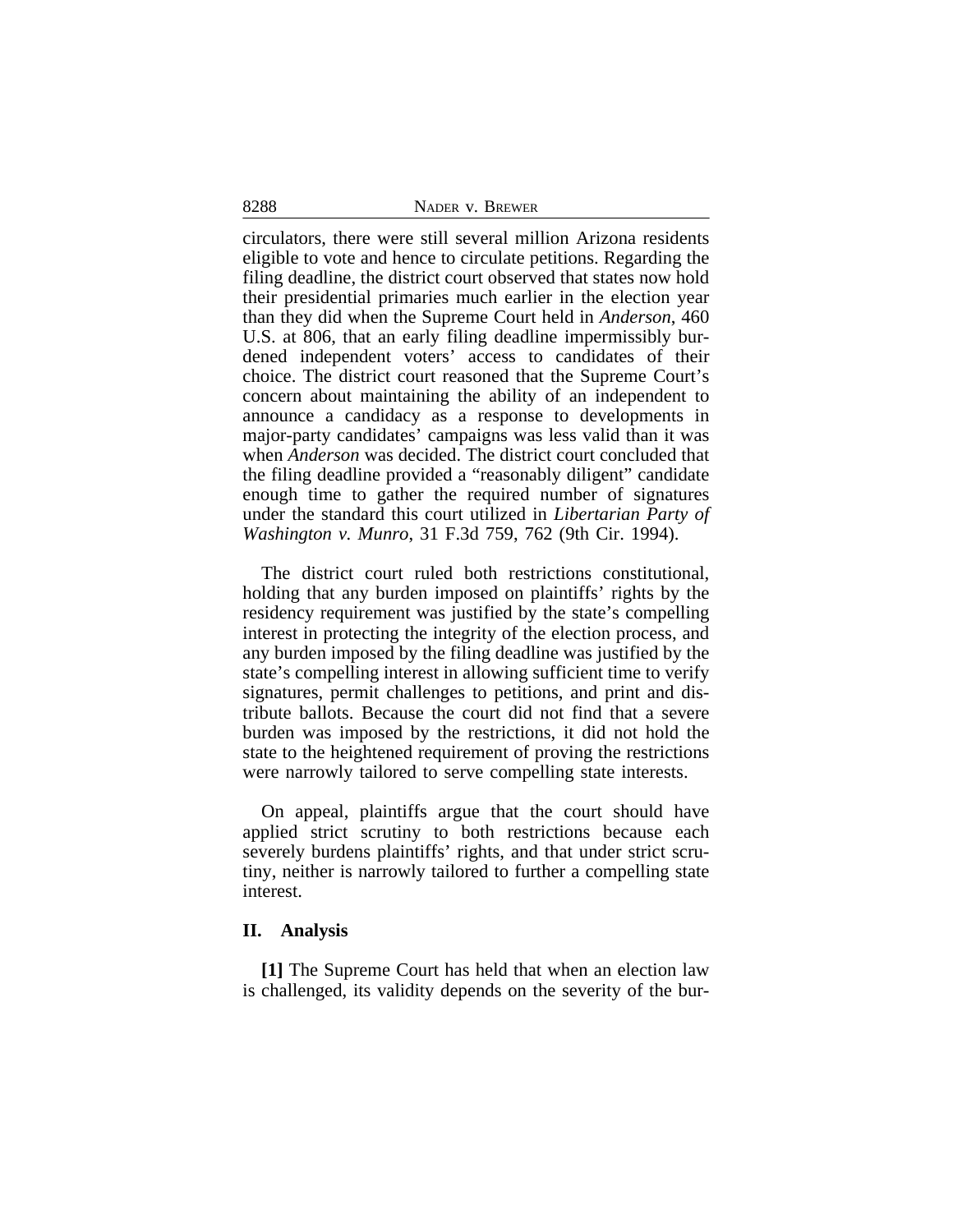circulators, there were still several million Arizona residents eligible to vote and hence to circulate petitions. Regarding the filing deadline, the district court observed that states now hold their presidential primaries much earlier in the election year than they did when the Supreme Court held in *Anderson*, 460 U.S. at 806, that an early filing deadline impermissibly burdened independent voters' access to candidates of their choice. The district court reasoned that the Supreme Court's concern about maintaining the ability of an independent to announce a candidacy as a response to developments in major-party candidates' campaigns was less valid than it was when *Anderson* was decided. The district court concluded that the filing deadline provided a "reasonably diligent" candidate enough time to gather the required number of signatures under the standard this court utilized in *Libertarian Party of Washington v. Munro*, 31 F.3d 759, 762 (9th Cir. 1994).

The district court ruled both restrictions constitutional, holding that any burden imposed on plaintiffs' rights by the residency requirement was justified by the state's compelling interest in protecting the integrity of the election process, and any burden imposed by the filing deadline was justified by the state's compelling interest in allowing sufficient time to verify signatures, permit challenges to petitions, and print and distribute ballots. Because the court did not find that a severe burden was imposed by the restrictions, it did not hold the state to the heightened requirement of proving the restrictions were narrowly tailored to serve compelling state interests.

On appeal, plaintiffs argue that the court should have applied strict scrutiny to both restrictions because each severely burdens plaintiffs' rights, and that under strict scrutiny, neither is narrowly tailored to further a compelling state interest.

#### **II. Analysis**

**[1]** The Supreme Court has held that when an election law is challenged, its validity depends on the severity of the bur-

8288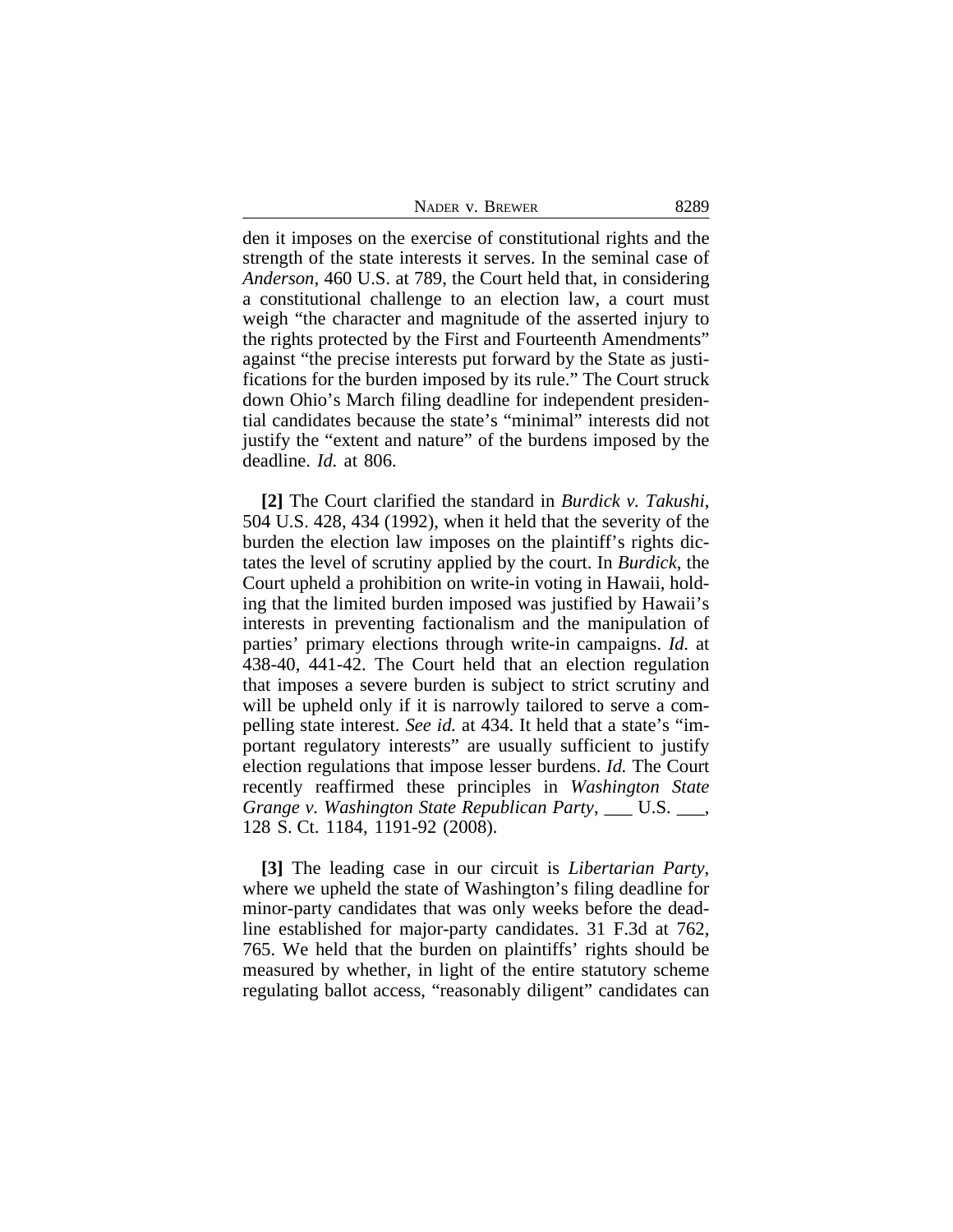| NADER V. BREWER | 8289 |
|-----------------|------|
|-----------------|------|

den it imposes on the exercise of constitutional rights and the strength of the state interests it serves. In the seminal case of *Anderson*, 460 U.S. at 789, the Court held that, in considering a constitutional challenge to an election law, a court must weigh "the character and magnitude of the asserted injury to the rights protected by the First and Fourteenth Amendments" against "the precise interests put forward by the State as justifications for the burden imposed by its rule." The Court struck down Ohio's March filing deadline for independent presidential candidates because the state's "minimal" interests did not justify the "extent and nature" of the burdens imposed by the deadline. *Id.* at 806.

**[2]** The Court clarified the standard in *Burdick v. Takushi*, 504 U.S. 428, 434 (1992), when it held that the severity of the burden the election law imposes on the plaintiff's rights dictates the level of scrutiny applied by the court. In *Burdick*, the Court upheld a prohibition on write-in voting in Hawaii, holding that the limited burden imposed was justified by Hawaii's interests in preventing factionalism and the manipulation of parties' primary elections through write-in campaigns. *Id.* at 438-40, 441-42. The Court held that an election regulation that imposes a severe burden is subject to strict scrutiny and will be upheld only if it is narrowly tailored to serve a compelling state interest. *See id.* at 434. It held that a state's "important regulatory interests" are usually sufficient to justify election regulations that impose lesser burdens. *Id.* The Court recently reaffirmed these principles in *Washington State Grange v. Washington State Republican Party*, U.S.  $\blacksquare$ , 128 S. Ct. 1184, 1191-92 (2008).

**[3]** The leading case in our circuit is *Libertarian Party*, where we upheld the state of Washington's filing deadline for minor-party candidates that was only weeks before the deadline established for major-party candidates. 31 F.3d at 762, 765. We held that the burden on plaintiffs' rights should be measured by whether, in light of the entire statutory scheme regulating ballot access, "reasonably diligent" candidates can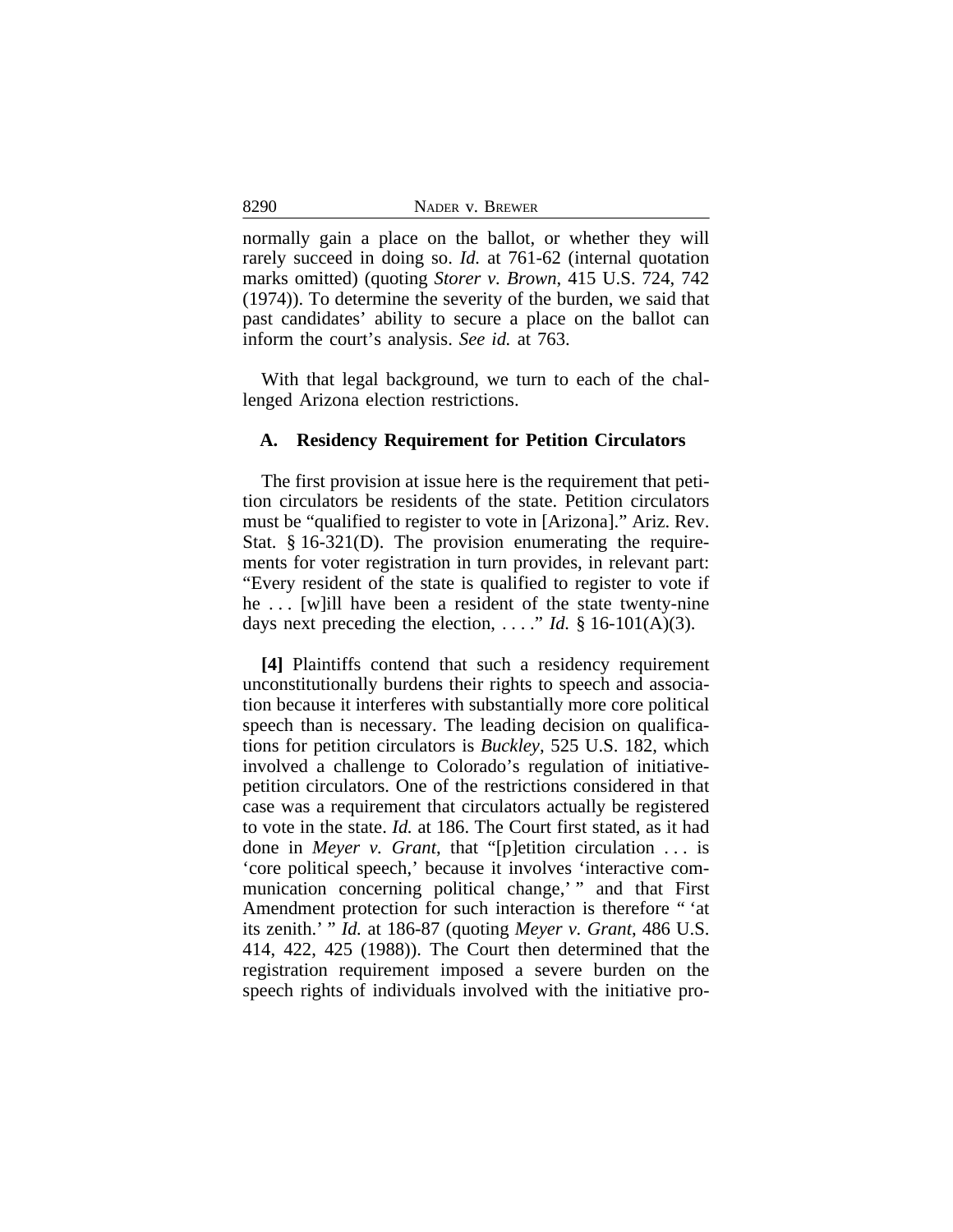normally gain a place on the ballot, or whether they will rarely succeed in doing so. *Id.* at 761-62 (internal quotation marks omitted) (quoting *Storer v. Brown*, 415 U.S. 724, 742 (1974)). To determine the severity of the burden, we said that past candidates' ability to secure a place on the ballot can inform the court's analysis. *See id.* at 763.

With that legal background, we turn to each of the challenged Arizona election restrictions.

#### **A. Residency Requirement for Petition Circulators**

The first provision at issue here is the requirement that petition circulators be residents of the state. Petition circulators must be "qualified to register to vote in [Arizona]." Ariz. Rev. Stat. § 16-321(D). The provision enumerating the requirements for voter registration in turn provides, in relevant part: "Every resident of the state is qualified to register to vote if he ... [w]ill have been a resident of the state twenty-nine days next preceding the election, ...." *Id.* § 16-101(A)(3).

**[4]** Plaintiffs contend that such a residency requirement unconstitutionally burdens their rights to speech and association because it interferes with substantially more core political speech than is necessary. The leading decision on qualifications for petition circulators is *Buckley*, 525 U.S. 182, which involved a challenge to Colorado's regulation of initiativepetition circulators. One of the restrictions considered in that case was a requirement that circulators actually be registered to vote in the state. *Id.* at 186. The Court first stated, as it had done in *Meyer v. Grant*, that "[p]etition circulation . . . is 'core political speech,' because it involves 'interactive communication concerning political change,'" and that First Amendment protection for such interaction is therefore " 'at its zenith.' " *Id.* at 186-87 (quoting *Meyer v. Grant*, 486 U.S. 414, 422, 425 (1988)). The Court then determined that the registration requirement imposed a severe burden on the speech rights of individuals involved with the initiative pro-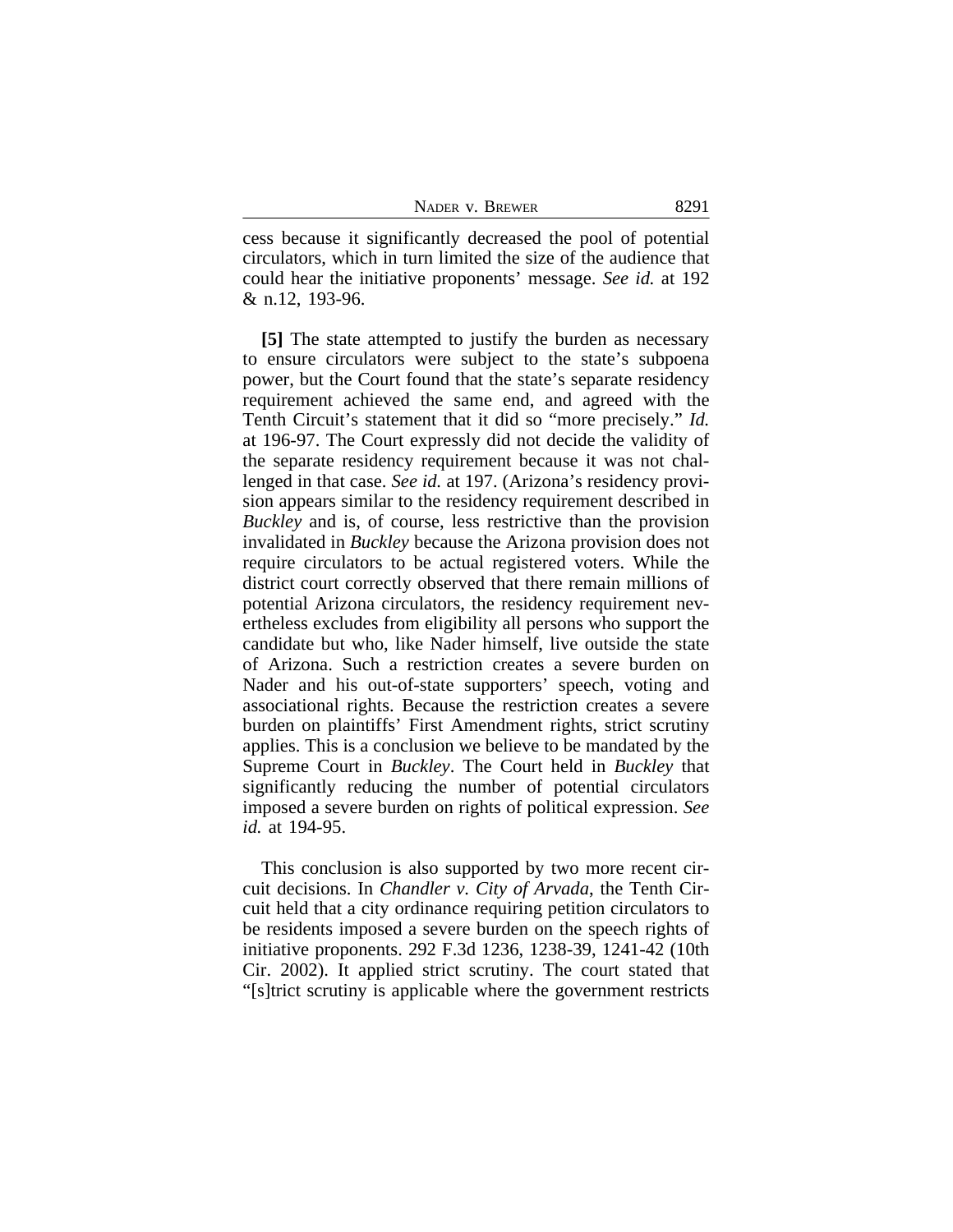| NADER V. BREWER | 8291 |
|-----------------|------|
|-----------------|------|

cess because it significantly decreased the pool of potential circulators, which in turn limited the size of the audience that could hear the initiative proponents' message. *See id.* at 192 & n.12, 193-96.

**[5]** The state attempted to justify the burden as necessary to ensure circulators were subject to the state's subpoena power, but the Court found that the state's separate residency requirement achieved the same end, and agreed with the Tenth Circuit's statement that it did so "more precisely." *Id.* at 196-97. The Court expressly did not decide the validity of the separate residency requirement because it was not challenged in that case. *See id.* at 197. (Arizona's residency provision appears similar to the residency requirement described in *Buckley* and is, of course, less restrictive than the provision invalidated in *Buckley* because the Arizona provision does not require circulators to be actual registered voters. While the district court correctly observed that there remain millions of potential Arizona circulators, the residency requirement nevertheless excludes from eligibility all persons who support the candidate but who, like Nader himself, live outside the state of Arizona. Such a restriction creates a severe burden on Nader and his out-of-state supporters' speech, voting and associational rights. Because the restriction creates a severe burden on plaintiffs' First Amendment rights, strict scrutiny applies. This is a conclusion we believe to be mandated by the Supreme Court in *Buckley*. The Court held in *Buckley* that significantly reducing the number of potential circulators imposed a severe burden on rights of political expression. *See id.* at 194-95.

This conclusion is also supported by two more recent circuit decisions. In *Chandler v. City of Arvada*, the Tenth Circuit held that a city ordinance requiring petition circulators to be residents imposed a severe burden on the speech rights of initiative proponents. 292 F.3d 1236, 1238-39, 1241-42 (10th Cir. 2002). It applied strict scrutiny. The court stated that "[s]trict scrutiny is applicable where the government restricts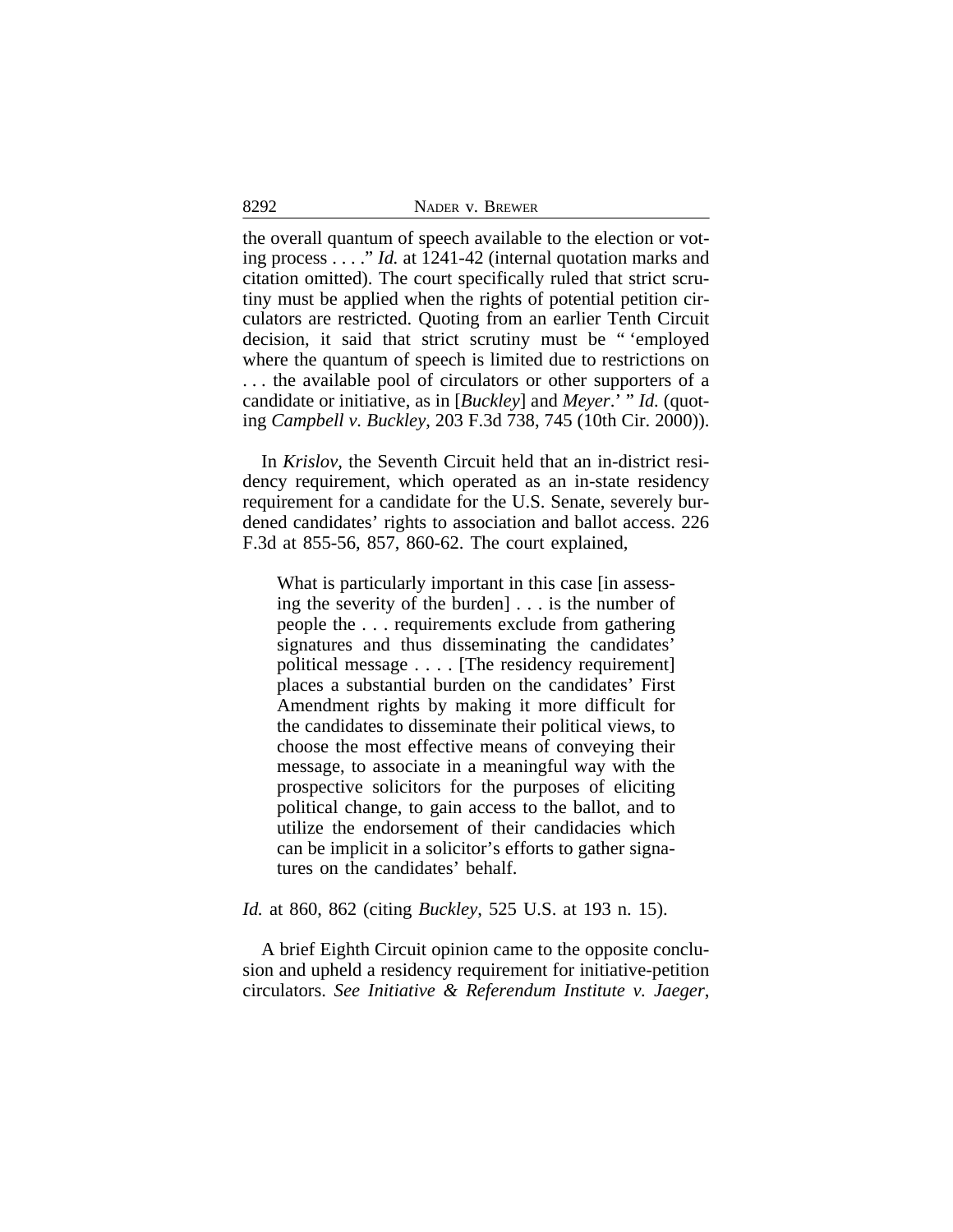| 8292 | NADER V. BREWER |
|------|-----------------|
|      |                 |

the overall quantum of speech available to the election or voting process . . . ." *Id.* at 1241-42 (internal quotation marks and citation omitted). The court specifically ruled that strict scrutiny must be applied when the rights of potential petition circulators are restricted. Quoting from an earlier Tenth Circuit decision, it said that strict scrutiny must be " 'employed where the quantum of speech is limited due to restrictions on . . . the available pool of circulators or other supporters of a candidate or initiative, as in [*Buckley*] and *Meyer*.' " *Id.* (quoting *Campbell v. Buckley*, 203 F.3d 738, 745 (10th Cir. 2000)).

In *Krislov*, the Seventh Circuit held that an in-district residency requirement, which operated as an in-state residency requirement for a candidate for the U.S. Senate, severely burdened candidates' rights to association and ballot access. 226 F.3d at 855-56, 857, 860-62. The court explained,

What is particularly important in this case *fin* assessing the severity of the burden] . . . is the number of people the . . . requirements exclude from gathering signatures and thus disseminating the candidates' political message . . . . [The residency requirement] places a substantial burden on the candidates' First Amendment rights by making it more difficult for the candidates to disseminate their political views, to choose the most effective means of conveying their message, to associate in a meaningful way with the prospective solicitors for the purposes of eliciting political change, to gain access to the ballot, and to utilize the endorsement of their candidacies which can be implicit in a solicitor's efforts to gather signatures on the candidates' behalf.

#### *Id.* at 860, 862 (citing *Buckley*, 525 U.S. at 193 n. 15).

A brief Eighth Circuit opinion came to the opposite conclusion and upheld a residency requirement for initiative-petition circulators. *See Initiative & Referendum Institute v. Jaeger*,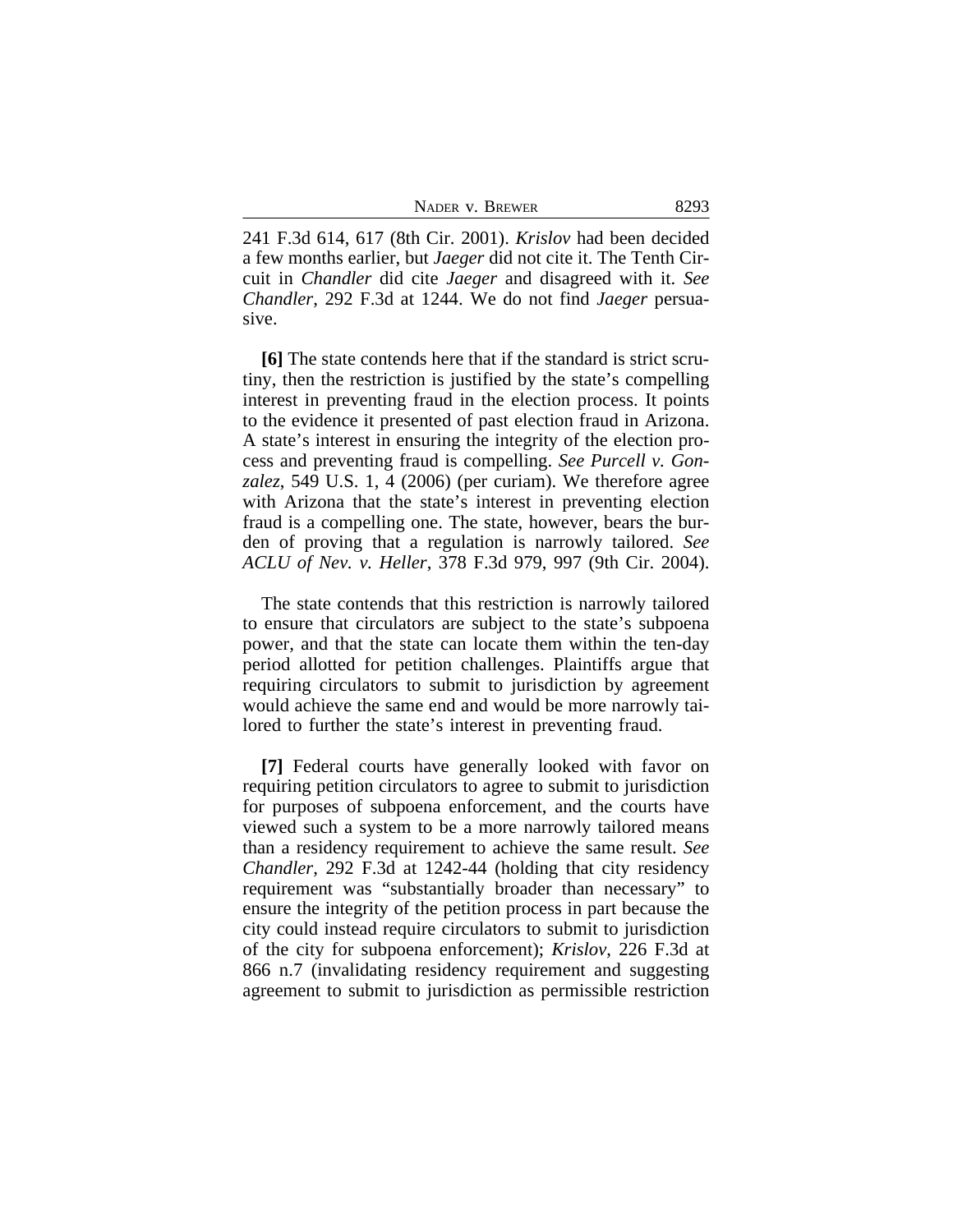| NADER V. BREWER |  |  |
|-----------------|--|--|
|-----------------|--|--|

241 F.3d 614, 617 (8th Cir. 2001). *Krislov* had been decided a few months earlier, but *Jaeger* did not cite it. The Tenth Circuit in *Chandler* did cite *Jaeger* and disagreed with it. *See Chandler*, 292 F.3d at 1244. We do not find *Jaeger* persuasive.

**[6]** The state contends here that if the standard is strict scrutiny, then the restriction is justified by the state's compelling interest in preventing fraud in the election process. It points to the evidence it presented of past election fraud in Arizona. A state's interest in ensuring the integrity of the election process and preventing fraud is compelling. *See Purcell v. Gonzalez*, 549 U.S. 1, 4 (2006) (per curiam). We therefore agree with Arizona that the state's interest in preventing election fraud is a compelling one. The state, however, bears the burden of proving that a regulation is narrowly tailored. *See ACLU of Nev. v. Heller*, 378 F.3d 979, 997 (9th Cir. 2004).

The state contends that this restriction is narrowly tailored to ensure that circulators are subject to the state's subpoena power, and that the state can locate them within the ten-day period allotted for petition challenges. Plaintiffs argue that requiring circulators to submit to jurisdiction by agreement would achieve the same end and would be more narrowly tailored to further the state's interest in preventing fraud.

**[7]** Federal courts have generally looked with favor on requiring petition circulators to agree to submit to jurisdiction for purposes of subpoena enforcement, and the courts have viewed such a system to be a more narrowly tailored means than a residency requirement to achieve the same result. *See Chandler*, 292 F.3d at 1242-44 (holding that city residency requirement was "substantially broader than necessary" to ensure the integrity of the petition process in part because the city could instead require circulators to submit to jurisdiction of the city for subpoena enforcement); *Krislov*, 226 F.3d at 866 n.7 (invalidating residency requirement and suggesting agreement to submit to jurisdiction as permissible restriction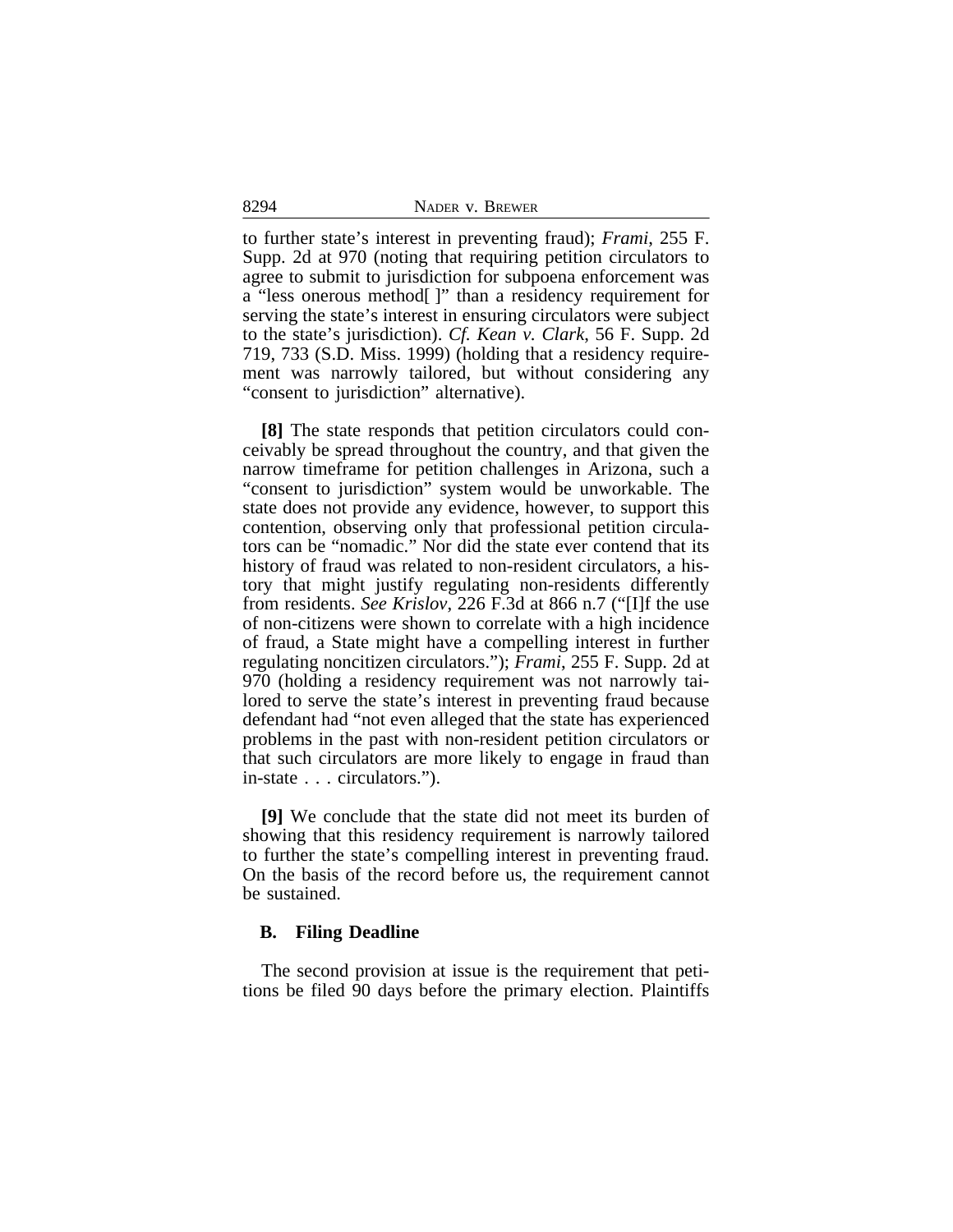8294 NADER v. BREWER

to further state's interest in preventing fraud); *Frami*, 255 F. Supp. 2d at 970 (noting that requiring petition circulators to agree to submit to jurisdiction for subpoena enforcement was a "less onerous method[ ]" than a residency requirement for serving the state's interest in ensuring circulators were subject to the state's jurisdiction). *Cf. Kean v. Clark*, 56 F. Supp. 2d 719, 733 (S.D. Miss. 1999) (holding that a residency requirement was narrowly tailored, but without considering any "consent to jurisdiction" alternative).

**[8]** The state responds that petition circulators could conceivably be spread throughout the country, and that given the narrow timeframe for petition challenges in Arizona, such a "consent to jurisdiction" system would be unworkable. The state does not provide any evidence, however, to support this contention, observing only that professional petition circulators can be "nomadic." Nor did the state ever contend that its history of fraud was related to non-resident circulators, a history that might justify regulating non-residents differently from residents. *See Krislov*, 226 F.3d at 866 n.7 ("[I]f the use of non-citizens were shown to correlate with a high incidence of fraud, a State might have a compelling interest in further regulating noncitizen circulators."); *Frami*, 255 F. Supp. 2d at 970 (holding a residency requirement was not narrowly tailored to serve the state's interest in preventing fraud because defendant had "not even alleged that the state has experienced problems in the past with non-resident petition circulators or that such circulators are more likely to engage in fraud than in-state . . . circulators.").

**[9]** We conclude that the state did not meet its burden of showing that this residency requirement is narrowly tailored to further the state's compelling interest in preventing fraud. On the basis of the record before us, the requirement cannot be sustained.

#### **B. Filing Deadline**

The second provision at issue is the requirement that petitions be filed 90 days before the primary election. Plaintiffs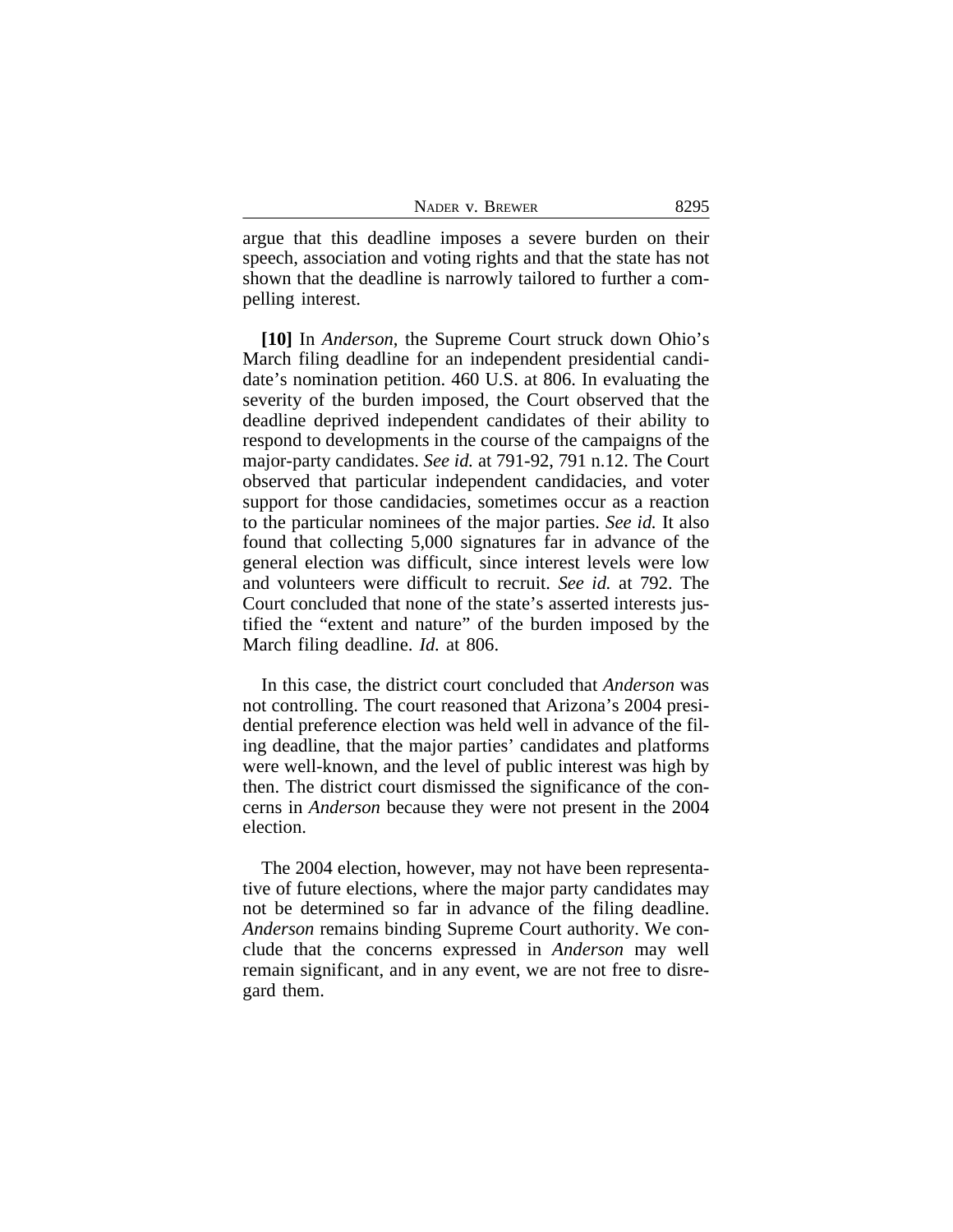| NADER V. BREWER | 8295 |
|-----------------|------|
|-----------------|------|

argue that this deadline imposes a severe burden on their speech, association and voting rights and that the state has not shown that the deadline is narrowly tailored to further a compelling interest.

**[10]** In *Anderson*, the Supreme Court struck down Ohio's March filing deadline for an independent presidential candidate's nomination petition. 460 U.S. at 806. In evaluating the severity of the burden imposed, the Court observed that the deadline deprived independent candidates of their ability to respond to developments in the course of the campaigns of the major-party candidates. *See id.* at 791-92, 791 n.12. The Court observed that particular independent candidacies, and voter support for those candidacies, sometimes occur as a reaction to the particular nominees of the major parties. *See id.* It also found that collecting 5,000 signatures far in advance of the general election was difficult, since interest levels were low and volunteers were difficult to recruit. *See id.* at 792. The Court concluded that none of the state's asserted interests justified the "extent and nature" of the burden imposed by the March filing deadline. *Id.* at 806.

In this case, the district court concluded that *Anderson* was not controlling. The court reasoned that Arizona's 2004 presidential preference election was held well in advance of the filing deadline, that the major parties' candidates and platforms were well-known, and the level of public interest was high by then. The district court dismissed the significance of the concerns in *Anderson* because they were not present in the 2004 election.

The 2004 election, however, may not have been representative of future elections, where the major party candidates may not be determined so far in advance of the filing deadline. *Anderson* remains binding Supreme Court authority. We conclude that the concerns expressed in *Anderson* may well remain significant, and in any event, we are not free to disregard them.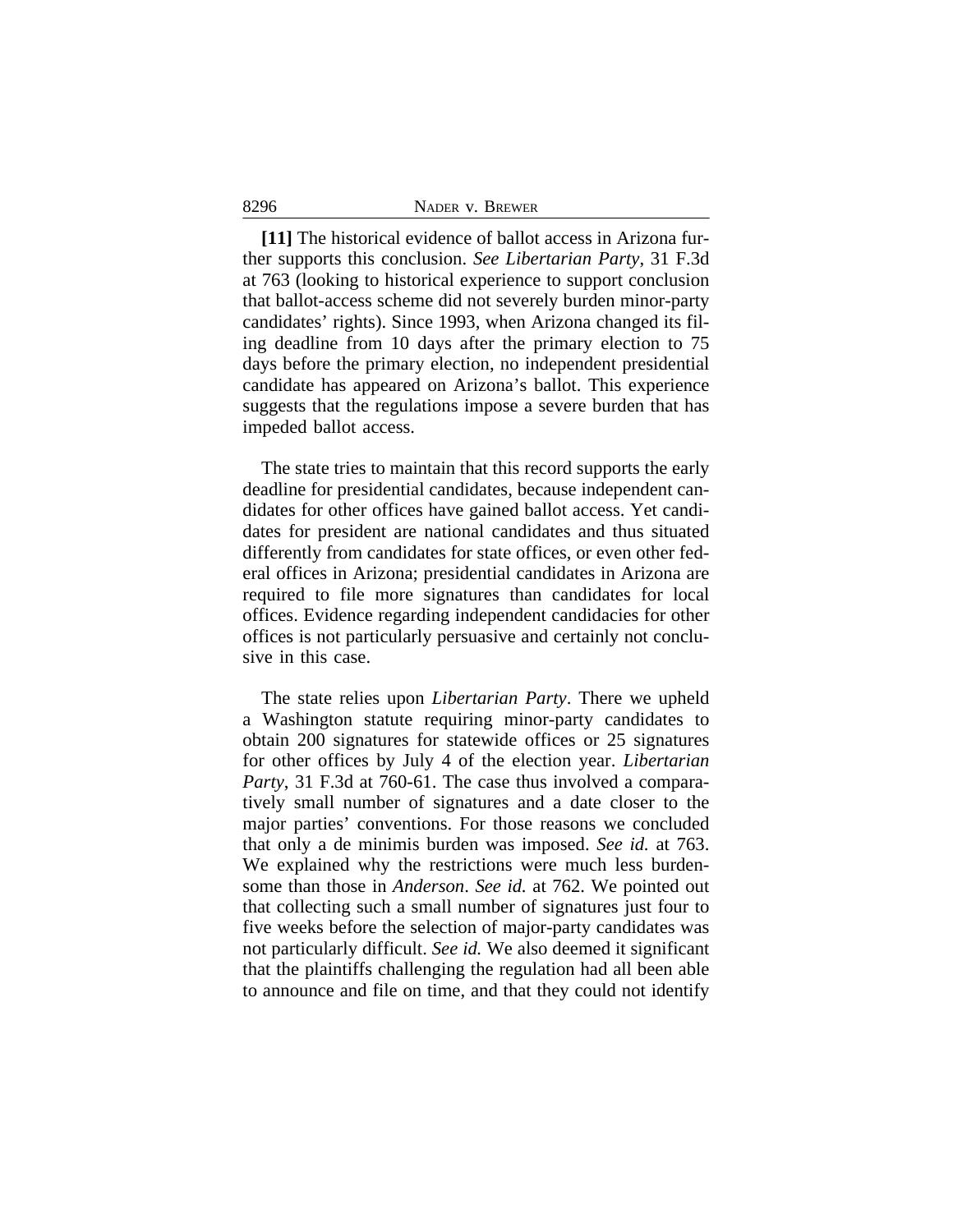**[11]** The historical evidence of ballot access in Arizona further supports this conclusion. *See Libertarian Party*, 31 F.3d at 763 (looking to historical experience to support conclusion that ballot-access scheme did not severely burden minor-party candidates' rights). Since 1993, when Arizona changed its filing deadline from 10 days after the primary election to 75 days before the primary election, no independent presidential candidate has appeared on Arizona's ballot. This experience suggests that the regulations impose a severe burden that has impeded ballot access.

The state tries to maintain that this record supports the early deadline for presidential candidates, because independent candidates for other offices have gained ballot access. Yet candidates for president are national candidates and thus situated differently from candidates for state offices, or even other federal offices in Arizona; presidential candidates in Arizona are required to file more signatures than candidates for local offices. Evidence regarding independent candidacies for other offices is not particularly persuasive and certainly not conclusive in this case.

The state relies upon *Libertarian Party*. There we upheld a Washington statute requiring minor-party candidates to obtain 200 signatures for statewide offices or 25 signatures for other offices by July 4 of the election year. *Libertarian Party*, 31 F.3d at 760-61. The case thus involved a comparatively small number of signatures and a date closer to the major parties' conventions. For those reasons we concluded that only a de minimis burden was imposed. *See id.* at 763. We explained why the restrictions were much less burdensome than those in *Anderson*. *See id.* at 762. We pointed out that collecting such a small number of signatures just four to five weeks before the selection of major-party candidates was not particularly difficult. *See id.* We also deemed it significant that the plaintiffs challenging the regulation had all been able to announce and file on time, and that they could not identify

8296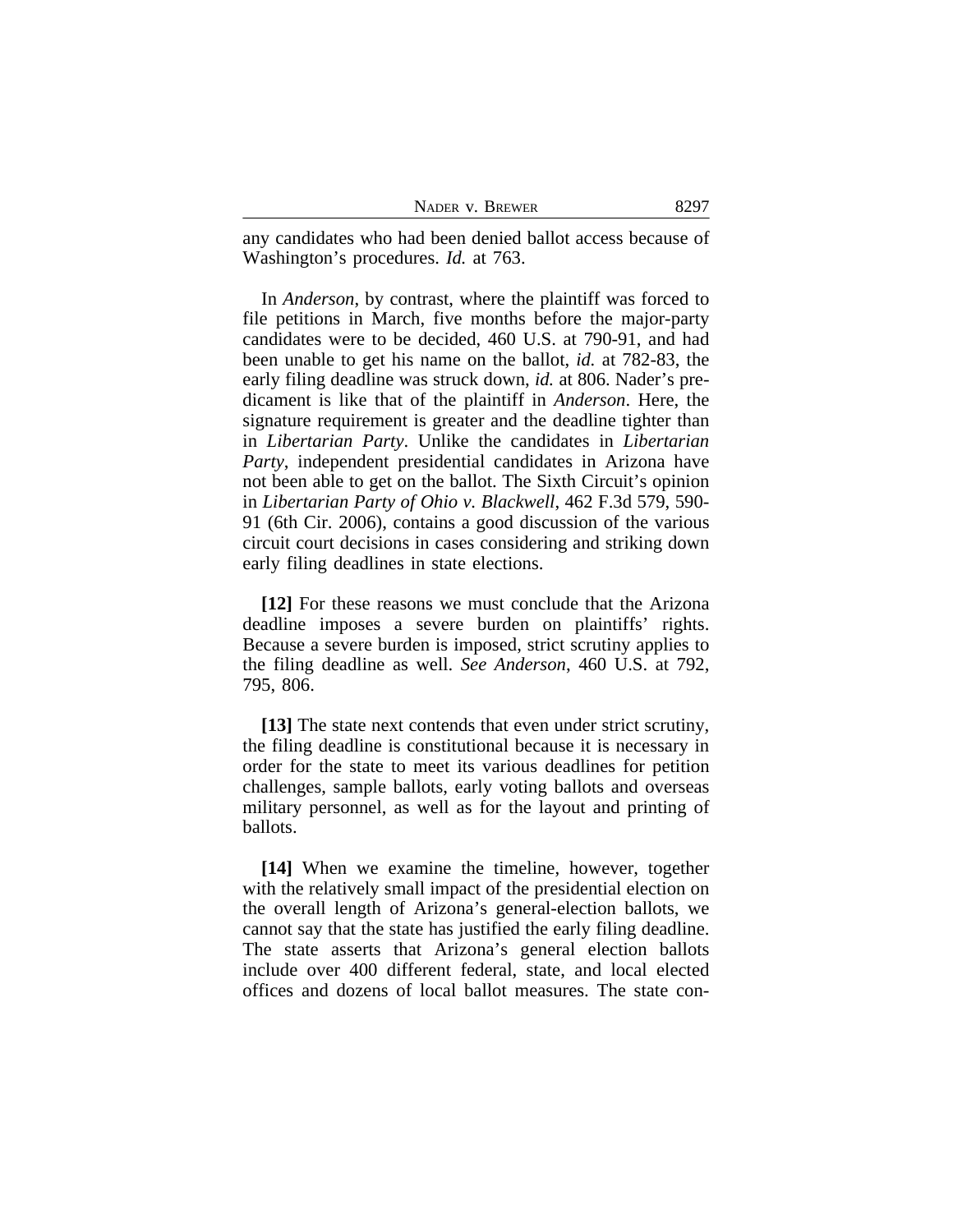any candidates who had been denied ballot access because of Washington's procedures. *Id.* at 763.

In *Anderson*, by contrast, where the plaintiff was forced to file petitions in March, five months before the major-party candidates were to be decided, 460 U.S. at 790-91, and had been unable to get his name on the ballot, *id.* at 782-83, the early filing deadline was struck down, *id.* at 806. Nader's predicament is like that of the plaintiff in *Anderson*. Here, the signature requirement is greater and the deadline tighter than in *Libertarian Party*. Unlike the candidates in *Libertarian Party*, independent presidential candidates in Arizona have not been able to get on the ballot. The Sixth Circuit's opinion in *Libertarian Party of Ohio v. Blackwell*, 462 F.3d 579, 590- 91 (6th Cir. 2006), contains a good discussion of the various circuit court decisions in cases considering and striking down early filing deadlines in state elections.

**[12]** For these reasons we must conclude that the Arizona deadline imposes a severe burden on plaintiffs' rights. Because a severe burden is imposed, strict scrutiny applies to the filing deadline as well. *See Anderson*, 460 U.S. at 792, 795, 806.

**[13]** The state next contends that even under strict scrutiny, the filing deadline is constitutional because it is necessary in order for the state to meet its various deadlines for petition challenges, sample ballots, early voting ballots and overseas military personnel, as well as for the layout and printing of ballots.

**[14]** When we examine the timeline, however, together with the relatively small impact of the presidential election on the overall length of Arizona's general-election ballots, we cannot say that the state has justified the early filing deadline. The state asserts that Arizona's general election ballots include over 400 different federal, state, and local elected offices and dozens of local ballot measures. The state con-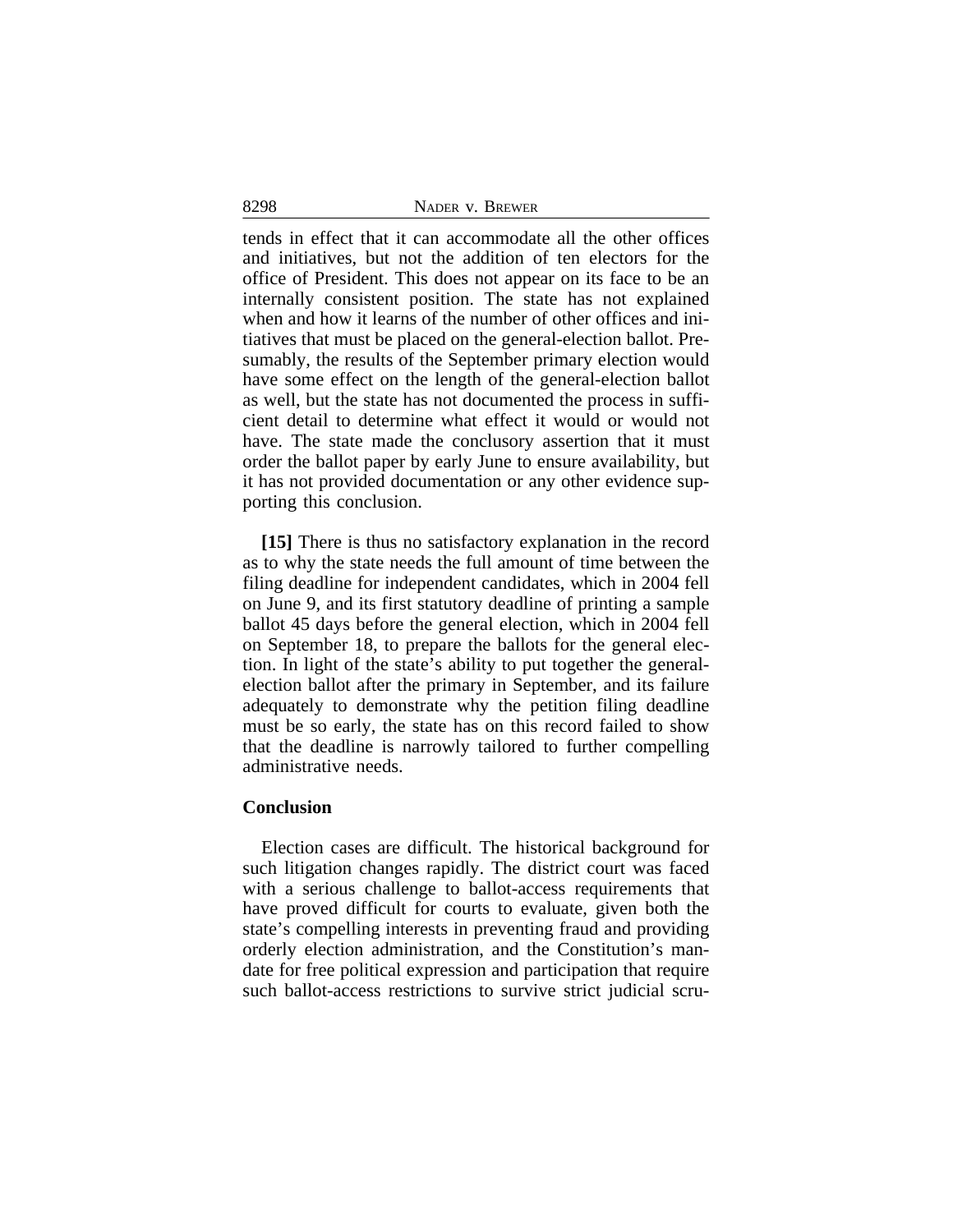| 8298 | NADER V. BREWER |  |
|------|-----------------|--|
|      |                 |  |

tends in effect that it can accommodate all the other offices and initiatives, but not the addition of ten electors for the office of President. This does not appear on its face to be an internally consistent position. The state has not explained when and how it learns of the number of other offices and initiatives that must be placed on the general-election ballot. Presumably, the results of the September primary election would have some effect on the length of the general-election ballot as well, but the state has not documented the process in sufficient detail to determine what effect it would or would not have. The state made the conclusory assertion that it must order the ballot paper by early June to ensure availability, but it has not provided documentation or any other evidence supporting this conclusion.

**[15]** There is thus no satisfactory explanation in the record as to why the state needs the full amount of time between the filing deadline for independent candidates, which in 2004 fell on June 9, and its first statutory deadline of printing a sample ballot 45 days before the general election, which in 2004 fell on September 18, to prepare the ballots for the general election. In light of the state's ability to put together the generalelection ballot after the primary in September, and its failure adequately to demonstrate why the petition filing deadline must be so early, the state has on this record failed to show that the deadline is narrowly tailored to further compelling administrative needs.

#### **Conclusion**

Election cases are difficult. The historical background for such litigation changes rapidly. The district court was faced with a serious challenge to ballot-access requirements that have proved difficult for courts to evaluate, given both the state's compelling interests in preventing fraud and providing orderly election administration, and the Constitution's mandate for free political expression and participation that require such ballot-access restrictions to survive strict judicial scru-